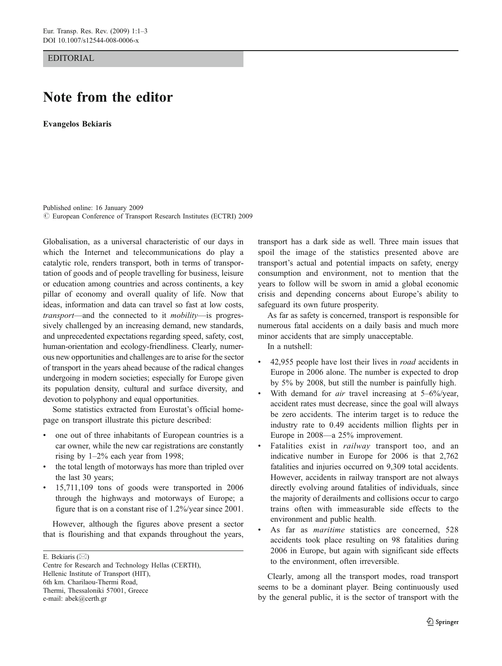EDITORIAL

## Note from the editor

Evangelos Bekiaris

Published online: 16 January 2009  $\circled{c}$  European Conference of Transport Research Institutes (ECTRI) 2009

Globalisation, as a universal characteristic of our days in which the Internet and telecommunications do play a catalytic role, renders transport, both in terms of transportation of goods and of people travelling for business, leisure or education among countries and across continents, a key pillar of economy and overall quality of life. Now that ideas, information and data can travel so fast at low costs, transport—and the connected to it mobility—is progressively challenged by an increasing demand, new standards, and unprecedented expectations regarding speed, safety, cost, human-orientation and ecology-friendliness. Clearly, numerous new opportunities and challenges are to arise for the sector of transport in the years ahead because of the radical changes undergoing in modern societies; especially for Europe given its population density, cultural and surface diversity, and devotion to polyphony and equal opportunities.

Some statistics extracted from Eurostat's official homepage on transport illustrate this picture described:

- one out of three inhabitants of European countries is a car owner, while the new car registrations are constantly rising by 1–2% each year from 1998;
- the total length of motorways has more than tripled over the last 30 years;
- & 15,711,109 tons of goods were transported in 2006 through the highways and motorways of Europe; a figure that is on a constant rise of 1.2%/year since 2001.

However, although the figures above present a sector that is flourishing and that expands throughout the years,

E. Bekiaris ( $\boxtimes$ )

transport has a dark side as well. Three main issues that spoil the image of the statistics presented above are transport's actual and potential impacts on safety, energy consumption and environment, not to mention that the years to follow will be sworn in amid a global economic crisis and depending concerns about Europe's ability to safeguard its own future prosperity.

As far as safety is concerned, transport is responsible for numerous fatal accidents on a daily basis and much more minor accidents that are simply unacceptable.

In a nutshell:

- & 42,955 people have lost their lives in road accidents in Europe in 2006 alone. The number is expected to drop by 5% by 2008, but still the number is painfully high.
- With demand for *air* travel increasing at  $5-6\%$ /year, accident rates must decrease, since the goal will always be zero accidents. The interim target is to reduce the industry rate to 0.49 accidents million flights per in Europe in 2008—a 25% improvement.
- Fatalities exist in *railway* transport too, and an indicative number in Europe for 2006 is that 2,762 fatalities and injuries occurred on 9,309 total accidents. However, accidents in railway transport are not always directly evolving around fatalities of individuals, since the majority of derailments and collisions occur to cargo trains often with immeasurable side effects to the environment and public health.
- As far as *maritime* statistics are concerned, 528 accidents took place resulting on 98 fatalities during 2006 in Europe, but again with significant side effects to the environment, often irreversible.

Clearly, among all the transport modes, road transport seems to be a dominant player. Being continuously used by the general public, it is the sector of transport with the

Centre for Research and Technology Hellas (CERTH), Hellenic Institute of Transport (HIT), 6th km. Charilaou-Thermi Road, Thermi, Thessaloniki 57001, Greece e-mail: abek@certh.gr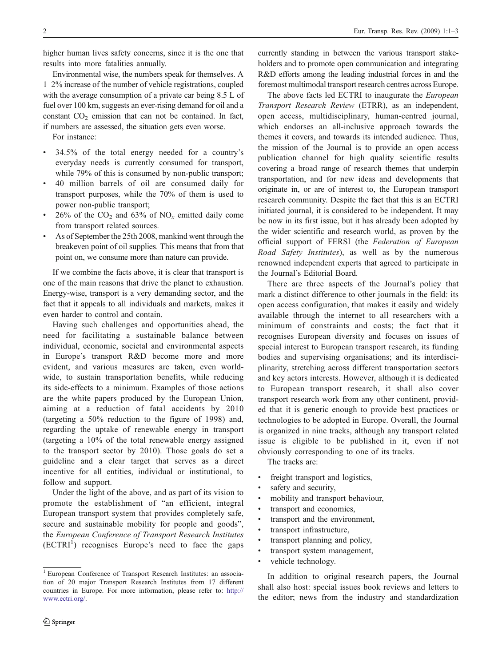higher human lives safety concerns, since it is the one that results into more fatalities annually.

Environmental wise, the numbers speak for themselves. A 1–2% increase of the number of vehicle registrations, coupled with the average consumption of a private car being 8.5 L of fuel over 100 km, suggests an ever-rising demand for oil and a constant  $CO<sub>2</sub>$  emission that can not be contained. In fact, if numbers are assessed, the situation gets even worse.

For instance:

- & 34.5% of the total energy needed for a country's everyday needs is currently consumed for transport, while 79% of this is consumed by non-public transport;
- & 40 million barrels of oil are consumed daily for transport purposes, while the 70% of them is used to power non-public transport;
- $26\%$  of the CO<sub>2</sub> and 63% of NO<sub>x</sub> emitted daily come from transport related sources.
- & As of September the 25th 2008, mankind went through the breakeven point of oil supplies. This means that from that point on, we consume more than nature can provide.

If we combine the facts above, it is clear that transport is one of the main reasons that drive the planet to exhaustion. Energy-wise, transport is a very demanding sector, and the fact that it appeals to all individuals and markets, makes it even harder to control and contain.

Having such challenges and opportunities ahead, the need for facilitating a sustainable balance between individual, economic, societal and environmental aspects in Europe's transport R&D become more and more evident, and various measures are taken, even worldwide, to sustain transportation benefits, while reducing its side-effects to a minimum. Examples of those actions are the white papers produced by the European Union, aiming at a reduction of fatal accidents by 2010 (targeting a 50% reduction to the figure of 1998) and, regarding the uptake of renewable energy in transport (targeting a 10% of the total renewable energy assigned to the transport sector by 2010). Those goals do set a guideline and a clear target that serves as a direct incentive for all entities, individual or institutional, to follow and support.

Under the light of the above, and as part of its vision to promote the establishment of "an efficient, integral European transport system that provides completely safe, secure and sustainable mobility for people and goods", the European Conference of Transport Research Institutes  $(ECTRI<sup>1</sup>)$  recognises Europe's need to face the gaps

currently standing in between the various transport stakeholders and to promote open communication and integrating R&D efforts among the leading industrial forces in and the foremost multimodal transport research centres across Europe.

The above facts led ECTRI to inaugurate the European Transport Research Review (ETRR), as an independent, open access, multidisciplinary, human-centred journal, which endorses an all-inclusive approach towards the themes it covers, and towards its intended audience. Thus, the mission of the Journal is to provide an open access publication channel for high quality scientific results covering a broad range of research themes that underpin transportation, and for new ideas and developments that originate in, or are of interest to, the European transport research community. Despite the fact that this is an ECTRI initiated journal, it is considered to be independent. It may be now in its first issue, but it has already been adopted by the wider scientific and research world, as proven by the official support of FERSI (the Federation of European Road Safety Institutes), as well as by the numerous renowned independent experts that agreed to participate in the Journal's Editorial Board.

There are three aspects of the Journal's policy that mark a distinct difference to other journals in the field: its open access configuration, that makes it easily and widely available through the internet to all researchers with a minimum of constraints and costs; the fact that it recognises European diversity and focuses on issues of special interest to European transport research, its funding bodies and supervising organisations; and its interdisciplinarity, stretching across different transportation sectors and key actors interests. However, although it is dedicated to European transport research, it shall also cover transport research work from any other continent, provided that it is generic enough to provide best practices or technologies to be adopted in Europe. Overall, the Journal is organized in nine tracks, although any transport related issue is eligible to be published in it, even if not obviously corresponding to one of its tracks.

The tracks are:

- freight transport and logistics,
- safety and security,
- mobility and transport behaviour,
- transport and economics,
- transport and the environment,
- transport infrastructure,
- transport planning and policy,
- transport system management,
- vehicle technology.

In addition to original research papers, the Journal shall also host: special issues book reviews and letters to the editor; news from the industry and standardization

<sup>&</sup>lt;sup>1</sup> European Conference of Transport Research Institutes: an association of 20 major Transport Research Institutes from 17 different countries in Europe. For more information, please refer to: [http://](http://www.ectri.org/) [www.ectri.org/](http://www.ectri.org/).